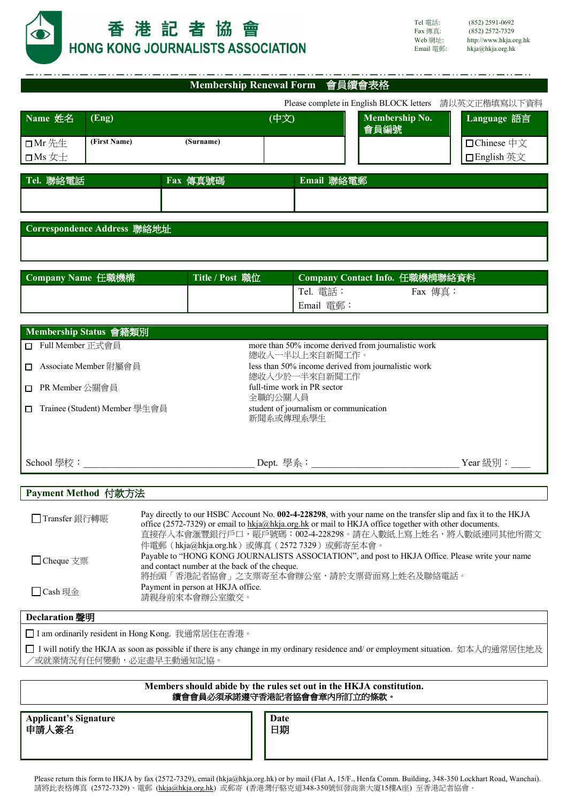

|                                          |                                                                       | Membership Renewal Form 會員續會表格                                 |                                                       |  |
|------------------------------------------|-----------------------------------------------------------------------|----------------------------------------------------------------|-------------------------------------------------------|--|
|                                          |                                                                       |                                                                | Please complete in English BLOCK letters 請以英文正楷填寫以下資料 |  |
| Name 姓名<br>(Eng)                         |                                                                       | (中文)<br>會員編號                                                   | <b>Membership No.</b><br>Language 語言                  |  |
| (First Name)<br>□Mr先生<br>$\square$ Ms 女士 | (Surname)                                                             |                                                                | □ Chinese 中文<br>□English 英文                           |  |
| Tel. 聯絡電話                                | Fax 傳真號碼                                                              | Email 聯絡電郵                                                     |                                                       |  |
|                                          |                                                                       |                                                                |                                                       |  |
| Correspondence Address 聯絡地址              |                                                                       |                                                                |                                                       |  |
|                                          |                                                                       |                                                                |                                                       |  |
|                                          |                                                                       |                                                                |                                                       |  |
| Company Name 任職機構                        | Title / Post 職位                                                       | Company Contact Info. 任職機構聯絡資料                                 |                                                       |  |
|                                          |                                                                       | Tel. 電話:<br>Email 電郵:                                          | Fax 傳真:                                               |  |
| Membership Status 會籍類別                   |                                                                       |                                                                |                                                       |  |
| □ Full Member 正式會員                       | more than 50% income derived from journalistic work                   |                                                                |                                                       |  |
| Associate Member 附屬會員<br>О.              | 總收入一半以上來自新聞工作。<br>less than 50% income derived from journalistic work |                                                                |                                                       |  |
| PR Member 公關會員<br>П.                     |                                                                       | 總收入少於一半來自新聞工作<br>full-time work in PR sector                   |                                                       |  |
| Trainee (Student) Member 學生會員<br>п       |                                                                       | 全職的公關人員<br>student of journalism or communication<br>新聞系或傳理系學生 |                                                       |  |
|                                          |                                                                       |                                                                |                                                       |  |

## **Payment Method** 付款方法

| □ Transfer 銀行轉賬 | Pay directly to our HSBC Account No. 002-4-228298, with your name on the transfer slip and fax it to the HKJA<br>office (2572-7329) or email to hkja@hkja.org.hk or mail to HKJA office together with other documents.<br>直接存入本會滙豐銀行戶口,賬戶號碼:002-4-228298。請在入數紙上寫上姓名,將入數紙連同其他所需文<br>件電郵 (hkja@hkja.org.hk) 或傳真 (2572 7329) 或郵寄至本會。 |
|-----------------|-----------------------------------------------------------------------------------------------------------------------------------------------------------------------------------------------------------------------------------------------------------------------------------------------------------------------------------|
| □ Cheque 支票     | Payable to "HONG KONG JOURNALISTS ASSOCIATION", and post to HKJA Office. Please write your name<br>and contact number at the back of the cheque.                                                                                                                                                                                  |
|                 | 將抬頭「香港記者協會」之支票寄至本會辦公室,請於支票背面寫上姓名及聯絡電話。                                                                                                                                                                                                                                                                                            |
| □ Cash 現金       | Payment in person at HKJA office.<br>請親身前來本會辦公室繳交。                                                                                                                                                                                                                                                                                |

# **Declaration** 聲明

□ I am ordinarily resident in Hong Kong. 我通常居住在香港。

□ I will notify the HKJA as soon as possible if there is any change in my ordinary residence and/ or employment situation. 如本人的通常居住地及 /或就業情況有任何變動,必定盡早主動通知記協。

### **Members should abide by the rules set out in the HKJA constitution.** 續會會員必須承諾遵守香港記者協會會章內所訂立的條款。

**Applicant's Signature** 申請人簽名

**Date** 日期

Please return this form to HKJA by fax (2572-7329), email (hkja@hkja.org.hk) or by mail (Flat A, 15/F., Henfa Comm. Building, 348-350 Lockhart Road, Wanchai). 請將此表格傳真 (2572-7329)、電郵 (hkja@hkja.org.hk) 或郵寄 (香港灣仔駱克道348-350號恒發商業大廈15樓A座) 至香港記者協會。